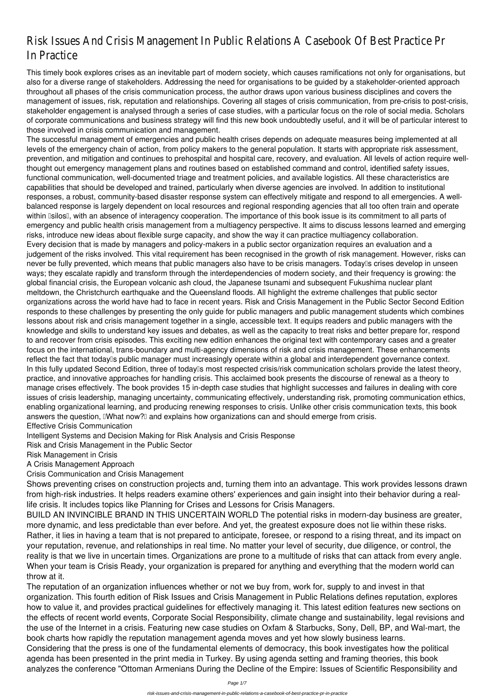# Risk Issues And Crisis Management In Public Relations A Casebook Of Best Practice In Practice

The successful management of emergencies and public health crises depends on adequate measures being implemented at all levels of the emergency chain of action, from policy makers to the general population. It starts with appropriate risk assessment, prevention, and mitigation and continues to prehospital and hospital care, recovery, and evaluation. All levels of action require wellthought out emergency management plans and routines based on established command and control, identified safety issues, functional communication, well-documented triage and treatment policies, and available logistics. All these characteristics are capabilities that should be developed and trained, particularly when diverse agencies are involved. In addition to institutional responses, a robust, community-based disaster response system can effectively mitigate and respond to all emergencies. A wellbalanced response is largely dependent on local resources and regional responding agencies that all too often train and operate within **Isilos** I, with an absence of interagency cooperation. The importance of this book issue is its commitment to all parts of emergency and public health crisis management from a multiagency perspective. It aims to discuss lessons learned and emerging risks, introduce new ideas about flexible surge capacity, and show the way it can practice multiagency collaboration. Every decision that is made by managers and policy-makers in a public sector organization requires an evaluation and a judgement of the risks involved. This vital requirement has been recognised in the growth of risk management. However, risks can never be fully prevented, which means that public managers also have to be crisis managers. Today<sup>n</sup>s crises develop in unseen ways; they escalate rapidly and transform through the interdependencies of modern society, and their frequency is growing: the global financial crisis, the European volcanic ash cloud, the Japanese tsunami and subsequent Fukushima nuclear plant meltdown, the Christchurch earthquake and the Queensland floods. All highlight the extreme challenges that public sector organizations across the world have had to face in recent years. Risk and Crisis Management in the Public Sector Second Edition responds to these challenges by presenting the only guide for public managers and public management students which combines lessons about risk and crisis management together in a single, accessible text. It equips readers and public managers with the knowledge and skills to understand key issues and debates, as well as the capacity to treat risks and better prepare for, respond to and recover from crisis episodes. This exciting new edition enhances the original text with contemporary cases and a greater focus on the international, trans-boundary and multi-agency dimensions of risk and crisis management. These enhancements reflect the fact that today<sup>''</sup>s public manager must increasingly operate within a global and interdependent governance context. In this fully updated Second Edition, three of today<sup>[</sup>] most respected crisis/risk communication scholars provide the latest theory, practice, and innovative approaches for handling crisis. This acclaimed book presents the discourse of renewal as a theory to manage crises effectively. The book provides 15 in-depth case studies that highlight successes and failures in dealing with core issues of crisis leadership, managing uncertainty, communicating effectively, understanding risk, promoting communication ethics, enabling organizational learning, and producing renewing responses to crisis. Unlike other crisis communication texts, this book answers the question, IWhat now?I and explains how organizations can and should emerge from crisis.

This timely book explores crises as an inevitable part of modern society, which causes ramifications not only for organisations, but also for a diverse range of stakeholders. Addressing the need for organisations to be guided by a stakeholder-oriented approach throughout all phases of the crisis communication process, the author draws upon various business disciplines and covers the management of issues, risk, reputation and relationships. Covering all stages of crisis communication, from pre-crisis to post-crisis, stakeholder engagement is analysed through a series of case studies, with a particular focus on the role of social media. Scholars of corporate communications and business strategy will find this new book undoubtedly useful, and it will be of particular interest to those involved in crisis communication and management.

Effective Crisis Communication

Intelligent Systems and Decision Making for Risk Analysis and Crisis Response

Risk and Crisis Management in the Public Sector

Risk Management in Crisis

A Crisis Management Approach

Crisis Communication and Crisis Management

Shows preventing crises on construction projects and, turning them into an advantage. This work provides lessons drawn from high-risk industries. It helps readers examine others' experiences and gain insight into their behavior during a reallife crisis. It includes topics like Planning for Crises and Lessons for Crisis Managers.

BUILD AN INVINCIBLE BRAND IN THIS UNCERTAIN WORLD The potential risks in modern-day business are greater, more dynamic, and less predictable than ever before. And yet, the greatest exposure does not lie within these risks. Rather, it lies in having a team that is not prepared to anticipate, foresee, or respond to a rising threat, and its impact on your reputation, revenue, and relationships in real time. No matter your level of security, due diligence, or control, the reality is that we live in uncertain times. Organizations are prone to a multitude of risks that can attack from every angle. When your team is Crisis Ready, your organization is prepared for anything and everything that the modern world can throw at it. The reputation of an organization influences whether or not we buy from, work for, supply to and invest in that organization. This fourth edition of Risk Issues and Crisis Management in Public Relations defines reputation, explores how to value it, and provides practical guidelines for effectively managing it. This latest edition features new sections on the effects of recent world events, Corporate Social Responsibility, climate change and sustainability, legal revisions and the use of the Internet in a crisis. Featuring new case studies on Oxfam & Starbucks, Sony, Dell, BP, and Wal-mart, the book charts how rapidly the reputation management agenda moves and yet how slowly business learns. Considering that the press is one of the fundamental elements of democracy, this book investigates how the political agenda has been presented in the print media in Turkey. By using agenda setting and framing theories, this book analyzes the conference "Ottoman Armenians During the Decline of the Empire: Issues of Scientific Responsibility and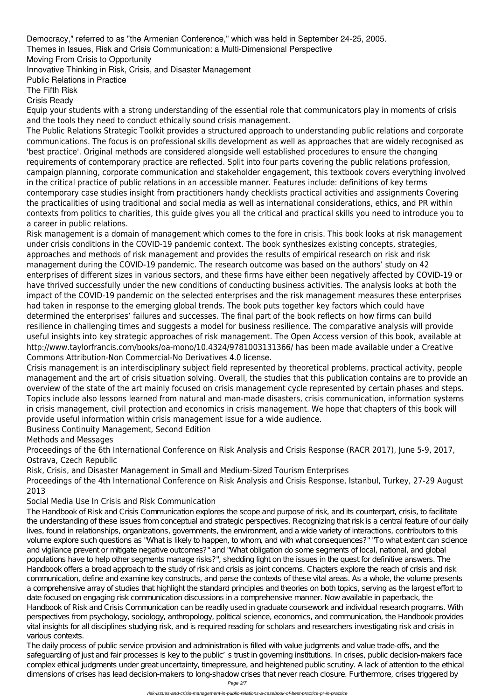Democracy," referred to as "the Armenian Conference," which was held in September 24-25, 2005.

Themes in Issues, Risk and Crisis Communication: a Multi-Dimensional Perspective

Moving From Crisis to Opportunity

Innovative Thinking in Risk, Crisis, and Disaster Management

Public Relations in Practice

The Fifth Risk

Crisis Ready

Equip your students with a strong understanding of the essential role that communicators play in moments of crisis and the tools they need to conduct ethically sound crisis management.

The Public Relations Strategic Toolkit provides a structured approach to understanding public relations and corporate communications. The focus is on professional skills development as well as approaches that are widely recognised as 'best practice'. Original methods are considered alongside well established procedures to ensure the changing requirements of contemporary practice are reflected. Split into four parts covering the public relations profession, campaign planning, corporate communication and stakeholder engagement, this textbook covers everything involved in the critical practice of public relations in an accessible manner. Features include: definitions of key terms contemporary case studies insight from practitioners handy checklists practical activities and assignments Covering the practicalities of using traditional and social media as well as international considerations, ethics, and PR within contexts from politics to charities, this guide gives you all the critical and practical skills you need to introduce you to a career in public relations.

Risk management is a domain of management which comes to the fore in crisis. This book looks at risk management under crisis conditions in the COVID-19 pandemic context. The book synthesizes existing concepts, strategies, approaches and methods of risk management and provides the results of empirical research on risk and risk management during the COVID-19 pandemic. The research outcome was based on the authors' study on 42 enterprises of different sizes in various sectors, and these firms have either been negatively affected by COVID-19 or have thrived successfully under the new conditions of conducting business activities. The analysis looks at both the impact of the COVID-19 pandemic on the selected enterprises and the risk management measures these enterprises had taken in response to the emerging global trends. The book puts together key factors which could have determined the enterprises' failures and successes. The final part of the book reflects on how firms can build resilience in challenging times and suggests a model for business resilience. The comparative analysis will provide useful insights into key strategic approaches of risk management. The Open Access version of this book, available at http://www.taylorfrancis.com/books/oa-mono/10.4324/9781003131366/ has been made available under a Creative Commons Attribution-Non Commercial-No Derivatives 4.0 license.

Crisis management is an interdisciplinary subject field represented by theoretical problems, practical activity, people management and the art of crisis situation solving. Overall, the studies that this publication contains are to provide an overview of the state of the art mainly focused on crisis management cycle represented by certain phases and steps. Topics include also lessons learned from natural and man-made disasters, crisis communication, information systems in crisis management, civil protection and economics in crisis management. We hope that chapters of this book will provide useful information within crisis management issue for a wide audience.

Business Continuity Management, Second Edition

Methods and Messages

Proceedings of the 6th International Conference on Risk Analysis and Crisis Response (RACR 2017), June 5-9, 2017, Ostrava, Czech Republic

Risk, Crisis, and Disaster Management in Small and Medium-Sized Tourism Enterprises

Proceedings of the 4th International Conference on Risk Analysis and Crisis Response, Istanbul, Turkey, 27-29 August 2013

### Social Media Use In Crisis and Risk Communication

The Handbook of Risk and Crisis Communication explores the scope and purpose of risk, and its counterpart, crisis, to facilitate the understanding of these issues from conceptual and strategic perspectives. Recognizing that risk is a central feature of our daily lives, found in relationships, organizations, governments, the environment, and a wide variety of interactions, contributors to this volume explore such questions as "What is likely to happen, to whom, and with what consequences?" "To what extent can science and vigilance prevent or mitigate negative outcomes?" and "What obligation do some segments of local, national, and global populations have to help other segments manage risks?", shedding light on the issues in the quest for definitive answers. The Handbook offers a broad approach to the study of risk and crisis as joint concerns. Chapters explore the reach of crisis and risk communication, define and examine key constructs, and parse the contexts of these vital areas. As a whole, the volume presents a comprehensive array of studies that highlight the standard principles and theories on both topics, serving as the largest effort to date focused on engaging risk communication discussions in a comprehensive manner. Now available in paperback, the Handbook of Risk and Crisis Communication can be readily used in graduate coursework and individual research programs. With perspectives from psychology, sociology, anthropology, political science, economics, and communication, the Handbook provides vital insights for all disciplines studying risk, and is required reading for scholars and researchers investigating risk and crisis in various contexts. The daily process of public service provision and administration is filled with value judgments and value trade-offs, and the safeguarding of just and fair processes is key to the public's trust in governing institutions. In crises, public decision-makers face complex ethical judgments under great uncertainty, timepressure, and heightened public scrutiny. A lack of attention to the ethical dimensions of crises has lead decision-makers to long-shadow crises that never reach closure. Furthermore, crises triggered by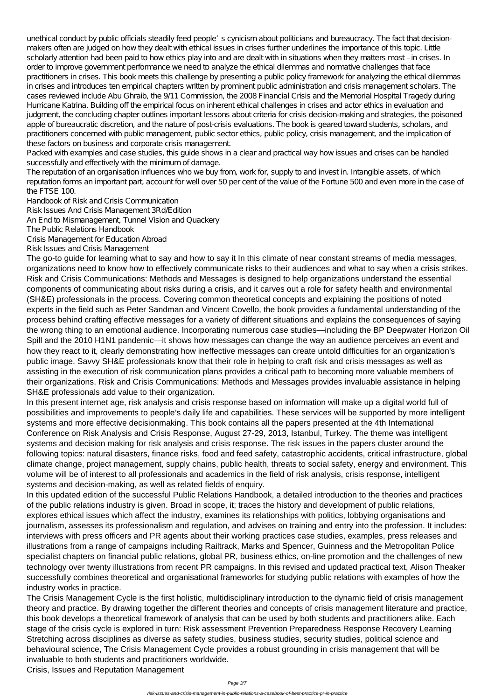unethical conduct by public officials steadily feed people's cynicism about politicians and bureaucracy. The fact that decisionmakers often are judged on how they dealt with ethical issues in crises further underlines the importance of this topic. Little scholarly attention had been paid to how ethics play into and are dealt with in situations when they matters most – in crises. In order to improve government performance we need to analyze the ethical dilemmas and normative challenges that face practitioners in crises. This book meets this challenge by presenting a public policy framework for analyzing the ethical dilemmas in crises and introduces ten empirical chapters written by prominent public administration and crisis management scholars. The cases reviewed include Abu Ghraib, the 9/11 Commission, the 2008 Financial Crisis and the Memorial Hospital Tragedy during Hurricane Katrina. Building off the empirical focus on inherent ethical challenges in crises and actor ethics in evaluation and judgment, the concluding chapter outlines important lessons about criteria for crisis decision-making and strategies, the poisoned apple of bureaucratic discretion, and the nature of post-crisis evaluations. The book is geared toward students, scholars, and practitioners concerned with public management, public sector ethics, public policy, crisis management, and the implication of these factors on business and corporate crisis management.

Packed with examples and case studies, this guide shows in a clear and practical way how issues and crises can be handled successfully and effectively with the minimum of damage.

The reputation of an organisation influences who we buy from, work for, supply to and invest in. Intangible assets, of which reputation forms an important part, account for well over 50 per cent of the value of the Fortune 500 and even more in the case of the FTSE 100.

Handbook of Risk and Crisis Communication

Risk Issues And Crisis Management 3Rd/Edition

An End to Mismanagement, Tunnel Vision and Quackery

The Public Relations Handbook

Crisis Management for Education Abroad

Risk Issues and Crisis Management

The go-to guide for learning what to say and how to say it In this climate of near constant streams of media messages, organizations need to know how to effectively communicate risks to their audiences and what to say when a crisis strikes. Risk and Crisis Communications: Methods and Messages is designed to help organizations understand the essential components of communicating about risks during a crisis, and it carves out a role for safety health and environmental (SH&E) professionals in the process. Covering common theoretical concepts and explaining the positions of noted experts in the field such as Peter Sandman and Vincent Covello, the book provides a fundamental understanding of the process behind crafting effective messages for a variety of different situations and explains the consequences of saying the wrong thing to an emotional audience. Incorporating numerous case studies—including the BP Deepwater Horizon Oil Spill and the 2010 H1N1 pandemic—it shows how messages can change the way an audience perceives an event and how they react to it, clearly demonstrating how ineffective messages can create untold difficulties for an organization's public image. Savvy SH&E professionals know that their role in helping to craft risk and crisis messages as well as assisting in the execution of risk communication plans provides a critical path to becoming more valuable members of their organizations. Risk and Crisis Communications: Methods and Messages provides invaluable assistance in helping SH&E professionals add value to their organization.

In this present internet age, risk analysis and crisis response based on information will make up a digital world full of possibilities and improvements to people's daily life and capabilities. These services will be supported by more intelligent systems and more effective decisionmaking. This book contains all the papers presented at the 4th International Conference on Risk Analysis and Crisis Response, August 27-29, 2013, Istanbul, Turkey. The theme was intelligent systems and decision making for risk analysis and crisis response. The risk issues in the papers cluster around the following topics: natural disasters, finance risks, food and feed safety, catastrophic accidents, critical infrastructure, global climate change, project management, supply chains, public health, threats to social safety, energy and environment. This volume will be of interest to all professionals and academics in the field of risk analysis, crisis response, intelligent systems and decision-making, as well as related fields of enquiry.

In this updated edition of the successful Public Relations Handbook, a detailed introduction to the theories and practices of the public relations industry is given. Broad in scope, it; traces the history and development of public relations, explores ethical issues which affect the industry, examines its relationships with politics, lobbying organisations and journalism, assesses its professionalism and regulation, and advises on training and entry into the profession. It includes: interviews with press officers and PR agents about their working practices case studies, examples, press releases and illustrations from a range of campaigns including Railtrack, Marks and Spencer, Guinness and the Metropolitan Police specialist chapters on financial public relations, global PR, business ethics, on-line promotion and the challenges of new technology over twenty illustrations from recent PR campaigns. In this revised and updated practical text, Alison Theaker successfully combines theoretical and organisational frameworks for studying public relations with examples of how the industry works in practice. The Crisis Management Cycle is the first holistic, multidisciplinary introduction to the dynamic field of crisis management theory and practice. By drawing together the different theories and concepts of crisis management literature and practice, this book develops a theoretical framework of analysis that can be used by both students and practitioners alike. Each stage of the crisis cycle is explored in turn: Risk assessment Prevention Preparedness Response Recovery Learning Stretching across disciplines as diverse as safety studies, business studies, security studies, political science and behavioural science, The Crisis Management Cycle provides a robust grounding in crisis management that will be invaluable to both students and practitioners worldwide. Crisis, Issues and Reputation Management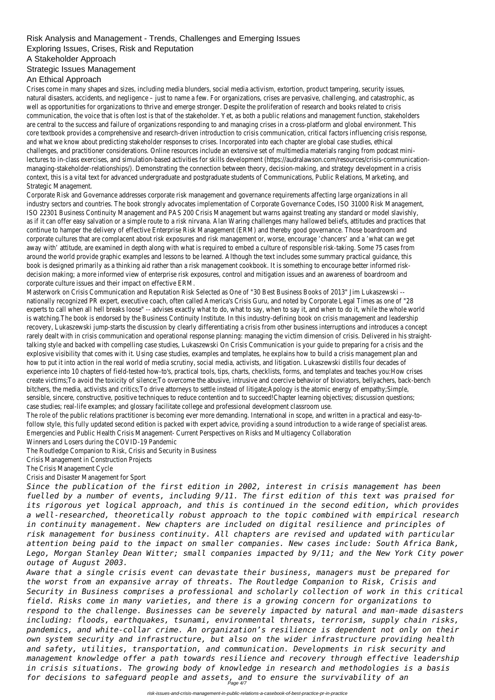## Risk Analysis and Management - Trends, Challenges and Emerging Issues

Exploring Issues, Crises, Risk and Reputation

A Stakeholder Approach

#### Strategic Issues Management

### An Ethical Approach

Crises come in many shapes and sizes, including media blunders, social media activism, extortion, product tampering, security issues, natural disasters, accidents, and negligence – just to name a few. For organizations, crises are pervasive, challenging, and catastrophic, as well as opportunities for organizations to thrive and emerge stronger. Despite the proliferation of research and books related to crisis communication, the voice that is often lost is that of the stakeholder. Yet, as both a public relations and management function, stakeholders are central to the success and failure of organizations responding to and managing crises in a cross-platform and global environment. This core textbook provides a comprehensive and research-driven introduction to crisis communication, critical factors influencing crisis response, and what we know about predicting stakeholder responses to crises. Incorporated into each chapter are global case studies, ethical challenges, and practitioner considerations. Online resources include an extensive set of multimedia materials ranging from podcast minilectures to in-class exercises, and simulation-based activities for skills development (https://audralawson.com/resources/crisis-communicationmanaging-stakeholder-relationships/). Demonstrating the connection between theory, decision-making, and strategy development in a crisis context, this is a vital text for advanced undergraduate and postgraduate students of Communications, Public Relations, Marketing, and Strategic Management.

Corporate Risk and Governance addresses corporate risk management and governance requirements affecting large organizations in all industry sectors and countries. The book strongly advocates implementation of Corporate Governance Codes, ISO 31000 Risk Management, ISO 22301 Business Continuity Management and PAS 200 Crisis Management but warns against treating any standard or model slavishly, as if it can offer easy salvation or a simple route to a risk nirvana. Alan Waring challenges many hallowed beliefs, attitudes and practices that continue to hamper the delivery of effective Enterprise Risk Management (ERM) and thereby good governance. Those boardroom and corporate cultures that are complacent about risk exposures and risk management or, worse, encourage 'chancers' and a 'what can we get away with' attitude, are examined in depth along with what is required to embed a culture of responsible risk-taking. Some 75 cases from around the world provide graphic examples and lessons to be learned. Although the text includes some summary practical guidance, this book is designed primarily as a thinking aid rather than a risk management cookbook. It is something to encourage better informed riskdecision making; a more informed view of enterprise risk exposures, control and mitigation issues and an awareness of boardroom and corporate culture issues and their impact on effective ERM.

Masterwork on Crisis Communication and Reputation Risk Selected as One of "30 Best Business Books of 2013" Jim Lukaszewski - nationally recognized PR expert, executive coach, often called America's Crisis Guru, and noted by Corporate Legal Times as one of "28 experts to call when all hell breaks loose" -- advises exactly what to do, what to say, when to say it, and when to do it, while the whole world is watching.The book is endorsed by the Business Continuity Institute. In this industry-defining book on crisis management and leadership recovery, Lukaszewski jump-starts the discussion by clearly differentiating a crisis from other business interruptions and introduces a concept rarely dealt with in crisis communication and operational response planning: managing the victim dimension of crisis. Delivered in his straighttalking style and backed with compelling case studies, Lukaszewski On Crisis Communication is your guide to preparing for a crisis and the explosive visibility that comes with it. Using case studies, examples and templates, he explains how to build a crisis management plan and how to put it into action in the real world of media scrutiny, social media, activists, and litigation. Lukaszewski distills four decades of experience into 10 chapters of field-tested how-to's, practical tools, tips, charts, checklists, forms, and templates and teaches you:How crises create victims;To avoid the toxicity of silence;To overcome the abusive, intrusive and coercive behavior of bloviators, bellyachers, back-bench bitchers, the media, activists and critics;To drive attorneys to settle instead of litigate;Apology is the atomic energy of empathy;Simple, sensible, sincere, constructive, positive techniques to reduce contention and to succeed!Chapter learning objectives; discussion questions; case studies; real-life examples; and glossary facilitate college and professional development classroom use.

The role of the public relations practitioner is becoming ever more demanding. International in scope, and written in a practical and easy-tofollow style, this fully updated second edition is packed with expert advice, providing a sound introduction to a wide range of specialist areas. Emergencies and Public Health Crisis Management- Current Perspectives on Risks and Multiagency Collaboration Winners and Losers during the COVID-19 Pandemic

The Routledge Companion to Risk, Crisis and Security in Business

Crisis Management in Construction Projects

The Crisis Management Cycle

Crisis and Disaster Management for Sport

*Since the publication of the first edition in 2002, interest in crisis management has been fuelled by a number of events, including 9/11. The first edition of this text was praised for its rigorous yet logical approach, and this is continued in the second edition, which provides a well-researched, theoretically robust approach to the topic combined with empirical research in continuity management. New chapters are included on digital resilience and principles of risk management for business continuity. All chapters are revised and updated with particular attention being paid to the impact on smaller companies. New cases include: South Africa Bank, Lego, Morgan Stanley Dean Witter; small companies impacted by 9/11; and the New York City power outage of August 2003. Aware that a single crisis event can devastate their business, managers must be prepared for the worst from an expansive array of threats. The Routledge Companion to Risk, Crisis and Security in Business comprises a professional and scholarly collection of work in this critical field. Risks come in many varieties, and there is a growing concern for organizations to respond to the challenge. Businesses can be severely impacted by natural and man-made disasters including: floods, earthquakes, tsunami, environmental threats, terrorism, supply chain risks, pandemics, and white-collar crime. An organization's resilience is dependent not only on their own system security and infrastructure, but also on the wider infrastructure providing health and safety, utilities, transportation, and communication. Developments in risk security and management knowledge offer a path towards resilience and recovery through effective leadership in crisis situations. The growing body of knowledge in research and methodologies is a basis for decisions to safeguard people and assets, and to ensure the survivability of an* Page 4/7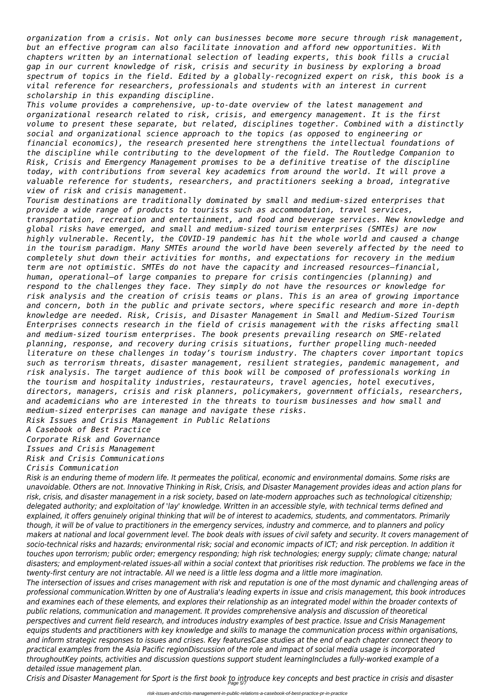*organization from a crisis. Not only can businesses become more secure through risk management, but an effective program can also facilitate innovation and afford new opportunities. With chapters written by an international selection of leading experts, this book fills a crucial gap in our current knowledge of risk, crisis and security in business by exploring a broad spectrum of topics in the field. Edited by a globally-recognized expert on risk, this book is a vital reference for researchers, professionals and students with an interest in current scholarship in this expanding discipline.*

*This volume provides a comprehensive, up-to-date overview of the latest management and organizational research related to risk, crisis, and emergency management. It is the first volume to present these separate, but related, disciplines together. Combined with a distinctly social and organizational science approach to the topics (as opposed to engineering or financial economics), the research presented here strengthens the intellectual foundations of the discipline while contributing to the development of the field. The Routledge Companion to Risk, Crisis and Emergency Management promises to be a definitive treatise of the discipline today, with contributions from several key academics from around the world. It will prove a valuable reference for students, researchers, and practitioners seeking a broad, integrative view of risk and crisis management.*

*Tourism destinations are traditionally dominated by small and medium-sized enterprises that provide a wide range of products to tourists such as accommodation, travel services, transportation, recreation and entertainment, and food and beverage services. New knowledge and global risks have emerged, and small and medium-sized tourism enterprises (SMTEs) are now highly vulnerable. Recently, the COVID-19 pandemic has hit the whole world and caused a change in the tourism paradigm. Many SMTEs around the world have been severely affected by the need to completely shut down their activities for months, and expectations for recovery in the medium term are not optimistic. SMTEs do not have the capacity and increased resources—financial, human, operational—of large companies to prepare for crisis contingencies (planning) and respond to the challenges they face. They simply do not have the resources or knowledge for risk analysis and the creation of crisis teams or plans. This is an area of growing importance and concern, both in the public and private sectors, where specific research and more in-depth knowledge are needed. Risk, Crisis, and Disaster Management in Small and Medium-Sized Tourism Enterprises connects research in the field of crisis management with the risks affecting small and medium-sized tourism enterprises. The book presents prevailing research on SME-related planning, response, and recovery during crisis situations, further propelling much-needed literature on these challenges in today's tourism industry. The chapters cover important topics such as terrorism threats, disaster management, resilient strategies, pandemic management, and risk analysis. The target audience of this book will be composed of professionals working in the tourism and hospitality industries, restaurateurs, travel agencies, hotel executives, directors, managers, crisis and risk planners, policymakers, government officials, researchers, and academicians who are interested in the threats to tourism businesses and how small and medium-sized enterprises can manage and navigate these risks.*

*Risk Issues and Crisis Management in Public Relations*

*A Casebook of Best Practice*

*Corporate Risk and Governance*

*Issues and Crisis Management*

*Risk and Crisis Communications*

### *Crisis Communication*

*Risk is an enduring theme of modern life. It permeates the political, economic and environmental domains. Some risks are unavoidable. Others are not. Innovative Thinking in Risk, Crisis, and Disaster Management provides ideas and action plans for risk, crisis, and disaster management in a risk society, based on late-modern approaches such as technological citizenship; delegated authority; and exploitation of 'lay' knowledge. Written in an accessible style, with technical terms defined and explained, it offers genuinely original thinking that will be of interest to academics, students, and commentators. Primarily though, it will be of value to practitioners in the emergency services, industry and commerce, and to planners and policy makers at national and local government level. The book deals with issues of civil safety and security. It covers management of socio-technical risks and hazards; environmental risk; social and economic impacts of ICT; and risk perception. In addition it touches upon terrorism; public order; emergency responding; high risk technologies; energy supply; climate change; natural disasters; and employment-related issues-all within a social context that prioritises risk reduction. The problems we face in the twenty-first century are not intractable. All we need is a little less dogma and a little more imagination. The intersection of issues and crises management with risk and reputation is one of the most dynamic and challenging areas of professional communication.Written by one of Australia's leading experts in issue and crisis management, this book introduces and examines each of these elements, and explores their relationship as an integrated model within the broader contexts of public relations, communication and management. It provides comprehensive analysis and discussion of theoretical perspectives and current field research, and introduces industry examples of best practice. Issue and Crisis Management equips students and practitioners with key knowledge and skills to manage the communication process within organisations, and inform strategic responses to issues and crises. Key featuresCase studies at the end of each chapter connect theory to practical examples from the Asia Pacific regionDiscussion of the role and impact of social media usage is incorporated throughoutKey points, activities and discussion questions support student learningIncludes a fully-worked example of a detailed issue management plan. Crisis and Disaster Management for Sport is the first book to introduce key concepts and best practice in crisis and disaster* Page 5/7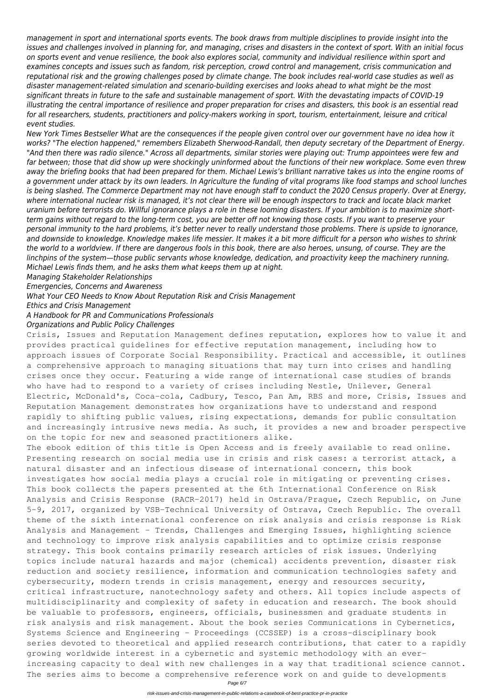*management in sport and international sports events. The book draws from multiple disciplines to provide insight into the issues and challenges involved in planning for, and managing, crises and disasters in the context of sport. With an initial focus on sports event and venue resilience, the book also explores social, community and individual resilience within sport and examines concepts and issues such as fandom, risk perception, crowd control and management, crisis communication and reputational risk and the growing challenges posed by climate change. The book includes real-world case studies as well as disaster management-related simulation and scenario-building exercises and looks ahead to what might be the most significant threats in future to the safe and sustainable management of sport. With the devastating impacts of COVID-19 illustrating the central importance of resilience and proper preparation for crises and disasters, this book is an essential read for all researchers, students, practitioners and policy-makers working in sport, tourism, entertainment, leisure and critical event studies.*

*New York Times Bestseller What are the consequences if the people given control over our government have no idea how it works? "The election happened," remembers Elizabeth Sherwood-Randall, then deputy secretary of the Department of Energy. "And then there was radio silence." Across all departments, similar stories were playing out: Trump appointees were few and far between; those that did show up were shockingly uninformed about the functions of their new workplace. Some even threw away the briefing books that had been prepared for them. Michael Lewis's brilliant narrative takes us into the engine rooms of a government under attack by its own leaders. In Agriculture the funding of vital programs like food stamps and school lunches is being slashed. The Commerce Department may not have enough staff to conduct the 2020 Census properly. Over at Energy, where international nuclear risk is managed, it's not clear there will be enough inspectors to track and locate black market uranium before terrorists do. Willful ignorance plays a role in these looming disasters. If your ambition is to maximize shortterm gains without regard to the long-term cost, you are better off not knowing those costs. If you want to preserve your personal immunity to the hard problems, it's better never to really understand those problems. There is upside to ignorance, and downside to knowledge. Knowledge makes life messier. It makes it a bit more difficult for a person who wishes to shrink the world to a worldview. If there are dangerous fools in this book, there are also heroes, unsung, of course. They are the linchpins of the system—those public servants whose knowledge, dedication, and proactivity keep the machinery running. Michael Lewis finds them, and he asks them what keeps them up at night.*

*Managing Stakeholder Relationships*

*Emergencies, Concerns and Awareness*

*What Your CEO Needs to Know About Reputation Risk and Crisis Management*

*Ethics and Crisis Management*

*A Handbook for PR and Communications Professionals*

#### *Organizations and Public Policy Challenges*

Crisis, Issues and Reputation Management defines reputation, explores how to value it and provides practical guidelines for effective reputation management, including how to approach issues of Corporate Social Responsibility. Practical and accessible, it outlines a comprehensive approach to managing situations that may turn into crises and handling crises once they occur. Featuring a wide range of international case studies of brands who have had to respond to a variety of crises including Nestle, Unilever, General Electric, McDonald's, Coca-cola, Cadbury, Tesco, Pan Am, RBS and more, Crisis, Issues and Reputation Management demonstrates how organizations have to understand and respond rapidly to shifting public values, rising expectations, demands for public consultation and increasingly intrusive news media. As such, it provides a new and broader perspective on the topic for new and seasoned practitioners alike.

The ebook edition of this title is Open Access and is freely available to read online. Presenting research on social media use in crisis and risk cases: a terrorist attack, a natural disaster and an infectious disease of international concern, this book investigates how social media plays a crucial role in mitigating or preventing crises. This book collects the papers presented at the 6th International Conference on Risk Analysis and Crisis Response (RACR-2017) held in Ostrava/Prague, Czech Republic, on June 5-9, 2017, organized by VSB-Technical University of Ostrava, Czech Republic. The overall theme of the sixth international conference on risk analysis and crisis response is Risk Analysis and Management – Trends, Challenges and Emerging Issues, highlighting science and technology to improve risk analysis capabilities and to optimize crisis response strategy. This book contains primarily research articles of risk issues. Underlying topics include natural hazards and major (chemical) accidents prevention, disaster risk reduction and society resilience, information and communication technologies safety and cybersecurity, modern trends in crisis management, energy and resources security, critical infrastructure, nanotechnology safety and others. All topics include aspects of multidisciplinarity and complexity of safety in education and research. The book should be valuable to professors, engineers, officials, businessmen and graduate students in risk analysis and risk management. About the book series Communications in Cybernetics, Systems Science and Engineering - Proceedings (CCSSEP) is a cross-disciplinary book series devoted to theoretical and applied research contributions, that cater to a rapidly growing worldwide interest in a cybernetic and systemic methodology with an everincreasing capacity to deal with new challenges in a way that traditional science cannot. The series aims to become a comprehensive reference work on and guide to developments Page 6/7